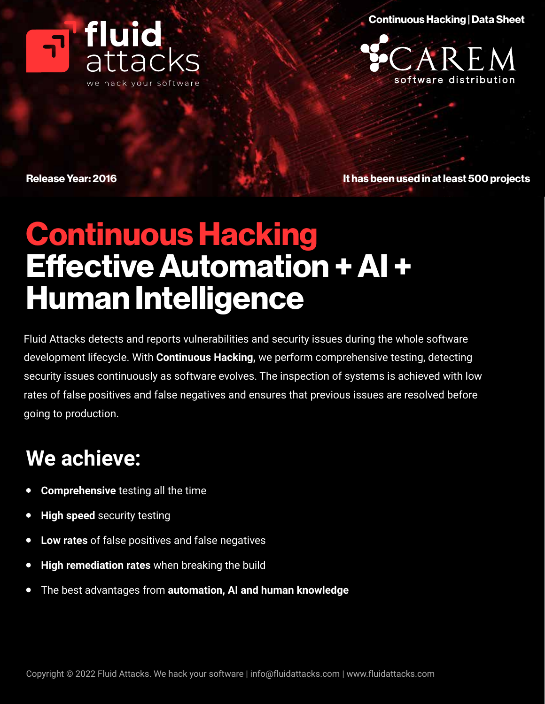

Continuous Hacking | Data Sheet



Release Year: 2016 It has been used in at least 500 projects

## Continuous Hacking Effective Automation + AI + Human Intelligence

Fluid Attacks detects and reports vulnerabilities and security issues during the whole software development lifecycle. With **Continuous Hacking,** we perform comprehensive testing, detecting security issues continuously as software evolves. The inspection of systems is achieved with low rates of false positives and false negatives and ensures that previous issues are resolved before going to production.

## **We achieve:**

- **Comprehensive** testing all the time  $\bullet$
- **High speed** security testing  $\bullet$
- **Low rates** of false positives and false negatives  $\bullet$
- $\bullet$ **High remediation rates** when breaking the build
- The best advantages from **automation, AI and human knowledge**  $\bullet$